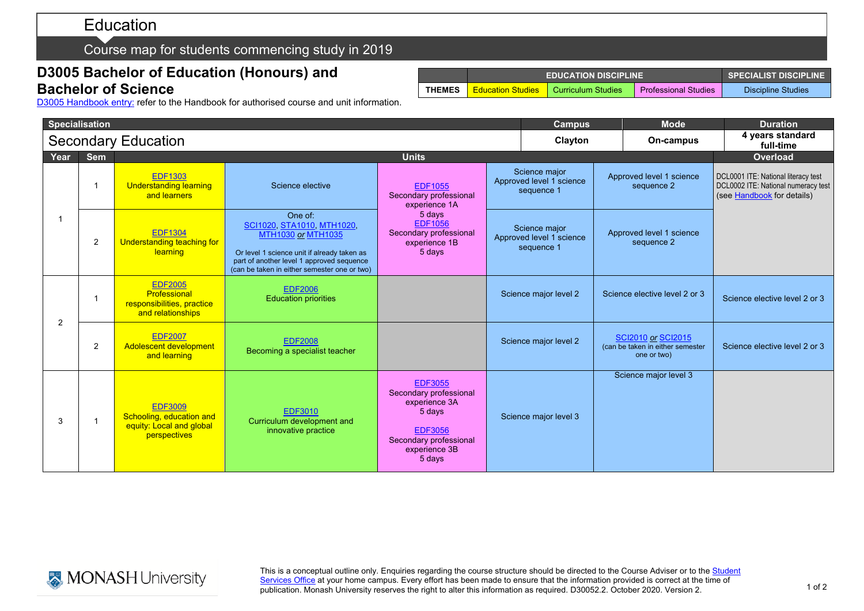# Education

### Course map for students commencing study in 2019

## **D3005 Bachelor of Education (Honours) and Bachelor of Science**

|               | <b>EDUCATION DISCIPLINE</b> | <b>SPECIALIST DISCIPLINE</b> |                      |                    |
|---------------|-----------------------------|------------------------------|----------------------|--------------------|
| <b>THEMES</b> | <b>Education Studies</b>    | <b>L</b> Curriculum Studies  | Professional Studies | Discipline Studies |

D3005 [Handbook entry:](http://www.monash.edu.au/pubs/2019handbooks/courses/D3005.html) refer to the Handbook for authorised course and unit information.

| <b>Specialisation</b>      |                |                                                                                        |                                                                                                                                                                                                                |                                                                                                                                            | <b>Campus</b> |                                                         | <b>Mode</b>                            | <b>Duration</b>                                                              |                                                                                                          |
|----------------------------|----------------|----------------------------------------------------------------------------------------|----------------------------------------------------------------------------------------------------------------------------------------------------------------------------------------------------------------|--------------------------------------------------------------------------------------------------------------------------------------------|---------------|---------------------------------------------------------|----------------------------------------|------------------------------------------------------------------------------|----------------------------------------------------------------------------------------------------------|
| <b>Secondary Education</b> |                |                                                                                        |                                                                                                                                                                                                                |                                                                                                                                            | Clayton       |                                                         | On-campus                              | 4 years standard<br>full-time                                                |                                                                                                          |
| Year                       | <b>Sem</b>     | <b>Units</b>                                                                           |                                                                                                                                                                                                                |                                                                                                                                            |               |                                                         |                                        |                                                                              | Overload                                                                                                 |
|                            |                | <b>EDF1303</b><br><b>Understanding learning</b><br>and learners                        | Science elective                                                                                                                                                                                               | <b>EDF1055</b><br>Secondary professional<br>experience 1A                                                                                  |               | Science major<br>Approved level 1 science<br>sequence 1 | Approved level 1 science<br>sequence 2 |                                                                              | DCL0001 ITE: National literacy test<br>DCL0002 ITE: National numeracy test<br>(see Handbook for details) |
| -1                         | $\overline{2}$ | <b>EDF1304</b><br>Understanding teaching for<br>learning                               | One of:<br>SCI1020, STA1010, MTH1020,<br><b>MTH1030 or MTH1035</b><br>Or level 1 science unit if already taken as<br>part of another level 1 approved sequence<br>(can be taken in either semester one or two) | 5 days<br><b>EDF1056</b><br>Secondary professional<br>experience 1B<br>5 days                                                              |               | Science major<br>Approved level 1 science<br>sequence 1 |                                        | Approved level 1 science<br>sequence 2                                       |                                                                                                          |
|                            |                | <b>EDF2005</b><br>Professional<br>responsibilities, practice<br>and relationships      | <b>EDF2006</b><br><b>Education priorities</b>                                                                                                                                                                  |                                                                                                                                            |               | Science major level 2                                   |                                        | Science elective level 2 or 3                                                | Science elective level 2 or 3                                                                            |
| $\overline{2}$             | $\overline{2}$ | <b>EDF2007</b><br>Adolescent development<br>and learning                               | <b>EDF2008</b><br>Becoming a specialist teacher                                                                                                                                                                |                                                                                                                                            |               | Science major level 2                                   |                                        | <b>SCI2010 or SCI2015</b><br>(can be taken in either semester<br>one or two) | Science elective level 2 or 3                                                                            |
| 3                          | 1              | <b>EDF3009</b><br>Schooling, education and<br>equity: Local and global<br>perspectives | <b>EDF3010</b><br>Curriculum development and<br>innovative practice                                                                                                                                            | <b>EDF3055</b><br>Secondary professional<br>experience 3A<br>5 days<br><b>EDF3056</b><br>Secondary professional<br>experience 3B<br>5 days |               | Science major level 3                                   |                                        | Science major level 3                                                        |                                                                                                          |



This is a conceptual outline only. Enquiries regarding the course structure should be directed to the Course Adviser or to the Student <u>[Services Office](https://www.monash.edu/education/current-students/contact)</u> at your home campus. Every effort has been made to ensure that the information provided is correct at the time of publication. Monash University reserves the right to alter this information as required. D30052.2. October 2020. Version 2.